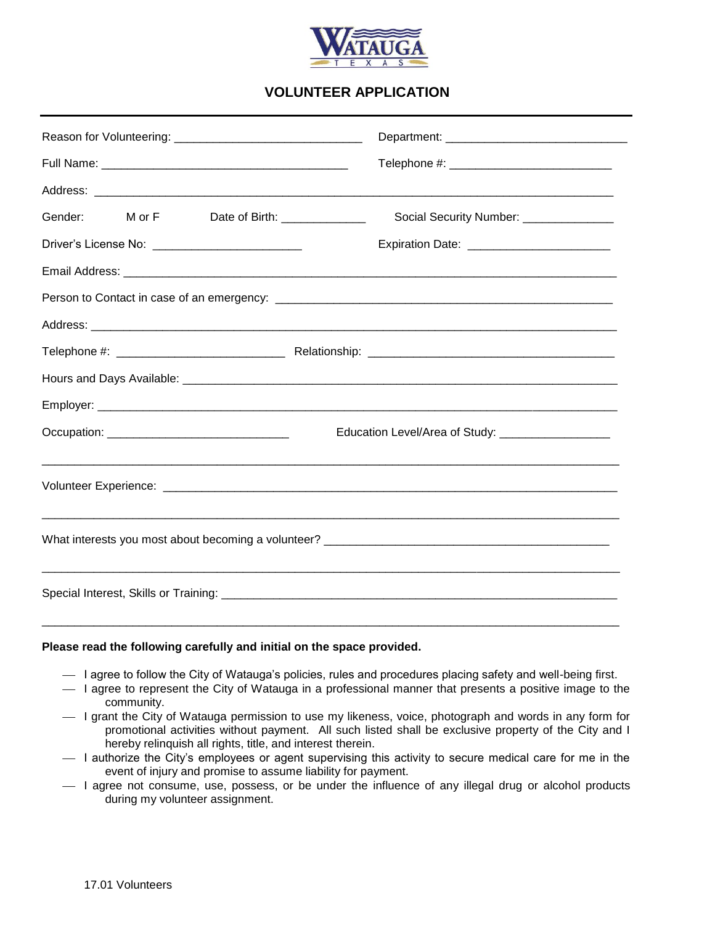

# **VOLUNTEER APPLICATION**

| Gender: M or F<br>Date of Birth: ______________ | Social Security Number: ______________            |  |  |  |  |
|-------------------------------------------------|---------------------------------------------------|--|--|--|--|
| Driver's License No: _________________________  | Expiration Date: ________________________         |  |  |  |  |
|                                                 |                                                   |  |  |  |  |
|                                                 |                                                   |  |  |  |  |
|                                                 |                                                   |  |  |  |  |
|                                                 |                                                   |  |  |  |  |
|                                                 |                                                   |  |  |  |  |
|                                                 |                                                   |  |  |  |  |
| Occupation: __________________________________  | Education Level/Area of Study: __________________ |  |  |  |  |
|                                                 |                                                   |  |  |  |  |
|                                                 |                                                   |  |  |  |  |
|                                                 |                                                   |  |  |  |  |
|                                                 |                                                   |  |  |  |  |
|                                                 |                                                   |  |  |  |  |
|                                                 |                                                   |  |  |  |  |
|                                                 |                                                   |  |  |  |  |

### **Please read the following carefully and initial on the space provided.**

- I agree to follow the City of Watauga's policies, rules and procedures placing safety and well-being first.
- I agree to represent the City of Watauga in a professional manner that presents a positive image to the community.
- $-$  I grant the City of Watauga permission to use my likeness, voice, photograph and words in any form for promotional activities without payment. All such listed shall be exclusive property of the City and I hereby relinquish all rights, title, and interest therein.
- I authorize the City's employees or agent supervising this activity to secure medical care for me in the event of injury and promise to assume liability for payment.
- I agree not consume, use, possess, or be under the influence of any illegal drug or alcohol products during my volunteer assignment.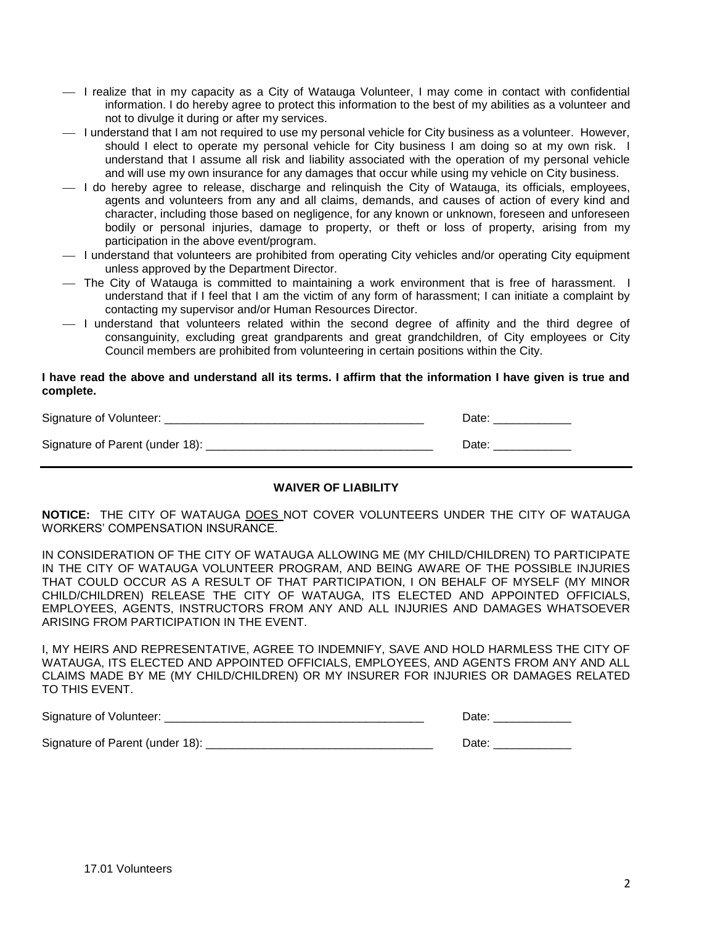- $-$  I realize that in my capacity as a City of Watauga Volunteer, I may come in contact with confidential information. I do hereby agree to protect this information to the best of my abilities as a volunteer and not to divulge it during or after my services.
- $-$  I understand that I am not required to use my personal vehicle for City business as a volunteer. However, should I elect to operate my personal vehicle for City business I am doing so at my own risk. I understand that I assume all risk and liability associated with the operation of my personal vehicle and will use my own insurance for any damages that occur while using my vehicle on City business.
- I do hereby agree to release, discharge and relinquish the City of Watauga, its officials, employees, agents and volunteers from any and all claims, demands, and causes of action of every kind and character, including those based on negligence, for any known or unknown, foreseen and unforeseen bodily or personal injuries, damage to property, or theft or loss of property, arising from my participation in the above event/program.
- I understand that volunteers are prohibited from operating City vehicles and/or operating City equipment unless approved by the Department Director.
- The City of Watauga is committed to maintaining a work environment that is free of harassment. I understand that if I feel that I am the victim of any form of harassment; I can initiate a complaint by contacting my supervisor and/or Human Resources Director.
- I understand that volunteers related within the second degree of affinity and the third degree of consanguinity, excluding great grandparents and great grandchildren, of City employees or City Council members are prohibited from volunteering in certain positions within the City.

#### **I have read the above and understand all its terms. I affirm that the information I have given is true and complete.**

| Signature of Volunteer:         | Date: |
|---------------------------------|-------|
| Signature of Parent (under 18): | Date: |

## **WAIVER OF LIABILITY**

**NOTICE:** THE CITY OF WATAUGA DOES NOT COVER VOLUNTEERS UNDER THE CITY OF WATAUGA WORKERS' COMPENSATION INSURANCE.

IN CONSIDERATION OF THE CITY OF WATAUGA ALLOWING ME (MY CHILD/CHILDREN) TO PARTICIPATE IN THE CITY OF WATAUGA VOLUNTEER PROGRAM, AND BEING AWARE OF THE POSSIBLE INJURIES THAT COULD OCCUR AS A RESULT OF THAT PARTICIPATION, I ON BEHALF OF MYSELF (MY MINOR CHILD/CHILDREN) RELEASE THE CITY OF WATAUGA, ITS ELECTED AND APPOINTED OFFICIALS, EMPLOYEES, AGENTS, INSTRUCTORS FROM ANY AND ALL INJURIES AND DAMAGES WHATSOEVER ARISING FROM PARTICIPATION IN THE EVENT.

I, MY HEIRS AND REPRESENTATIVE, AGREE TO INDEMNIFY, SAVE AND HOLD HARMLESS THE CITY OF WATAUGA, ITS ELECTED AND APPOINTED OFFICIALS, EMPLOYEES, AND AGENTS FROM ANY AND ALL CLAIMS MADE BY ME (MY CHILD/CHILDREN) OR MY INSURER FOR INJURIES OR DAMAGES RELATED TO THIS EVENT.

| Signature of Volunteer:         | Date |
|---------------------------------|------|
| Signature of Parent (under 18): | Date |